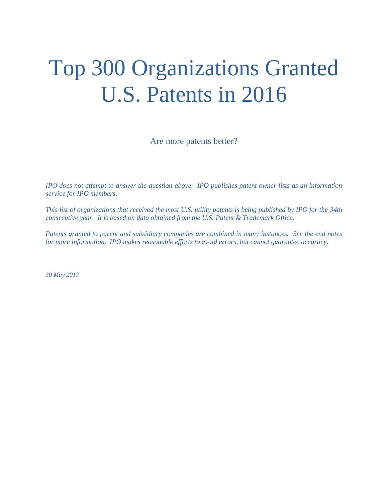# Top 300 Organizations Granted U.S. Patents in 2016

Are more patents better?

*IPO does not attempt to answer the question above. IPO publishes patent owner lists as an information service for IPO members.* 

*This list of organizations that received the most U.S. utility patents is being published by IPO for the 34th consecutive year. It is based on data obtained from the U.S. Patent & Trademark Office.* 

*Patents granted to parent and subsidiary companies are combined in many instances. See the end notes for more information. IPO makes reasonable efforts to avoid errors, but cannot guarantee accuracy.* 

*30 May 2017*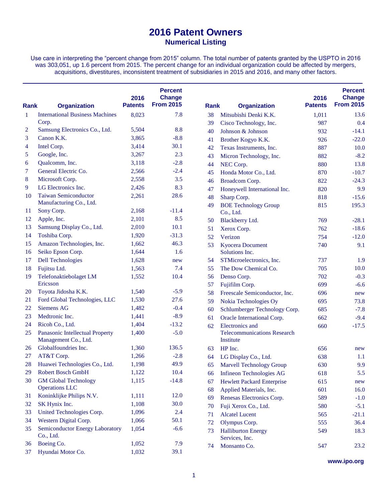Use care in interpreting the "percent change from 2015" column. The total number of patents granted by the USPTO in 2016 was 303,051, up 1.6 percent from 2015. The percent change for an individual organization could be affected by mergers, acquisitions, divestitures, inconsistent treatment of subsidiaries in 2015 and 2016, and many other factors.

| <b>Rank</b>  | <b>Organization</b>                                     | 2016<br><b>Patents</b> | <b>Percent</b><br><b>Change</b><br><b>From 2015</b> | <b>Rank</b> | <b>Organization</b>                             | 2016<br><b>Patents</b> | <b>Percent</b><br><b>Change</b><br><b>From 2015</b> |
|--------------|---------------------------------------------------------|------------------------|-----------------------------------------------------|-------------|-------------------------------------------------|------------------------|-----------------------------------------------------|
| $\mathbf{1}$ | <b>International Business Machines</b>                  | 8,023                  | 7.8                                                 | 38          | Mitsubishi Denki K.K.                           | 1,011                  | 13.6                                                |
|              | Corp.                                                   |                        |                                                     | 39          | Cisco Technology, Inc.                          | 987                    | 0.4                                                 |
| 2            | Samsung Electronics Co., Ltd.                           | 5,504                  | 8.8                                                 | 40          | Johnson & Johnson                               | 932                    | $-14.1$                                             |
| 3            | Canon K.K.                                              | 3,865                  | $-8.8$                                              | 41          | Brother Kogyo K.K.                              | 926                    | $-22.0$                                             |
| 4            | Intel Corp.                                             | 3,414                  | 30.1                                                | 42          | Texas Instruments, Inc.                         | 887                    | 10.0                                                |
| 5            | Google, Inc.                                            | 3,267                  | 2.3                                                 | 43          | Micron Technology, Inc.                         | 882                    | $-8.2$                                              |
| 6            | Qualcomm, Inc.                                          | 3,118                  | $-2.8$                                              | 44          | NEC Corp.                                       | 880                    | 13.8                                                |
| 7            | General Electric Co.                                    | 2,566                  | $-2.4$                                              | 45          | Honda Motor Co., Ltd.                           | 870                    | $-10.7$                                             |
| 8            | Microsoft Corp.                                         | 2,558                  | 3.5                                                 | 46          | Broadcom Corp.                                  | 822                    | $-24.3$                                             |
| 9            | LG Electronics Inc.                                     | 2,426                  | 8.3                                                 | 47          | Honeywell International Inc.                    | 820                    | 9.9                                                 |
| 10           | <b>Taiwan Semiconductor</b>                             | 2,261                  | 28.6                                                | 48          | Sharp Corp.                                     | 818                    | $-15.6$                                             |
|              | Manufacturing Co., Ltd.                                 |                        |                                                     | 49          | <b>BOE Technology Group</b>                     | 815                    | 195.3                                               |
| 11           | Sony Corp.                                              | 2,168                  | $-11.4$                                             |             | Co., Ltd.                                       |                        |                                                     |
| 12           | Apple, Inc.                                             | 2,101                  | 8.5                                                 | 50          | Blackberry Ltd.                                 | 769                    | $-28.1$                                             |
| 13           | Samsung Display Co., Ltd.                               | 2,010                  | 10.1                                                | 51          | Xerox Corp.                                     | 762                    | $-18.6$                                             |
| 14           | Toshiba Corp.                                           | 1,920                  | $-31.3$                                             | 52          | Verizon                                         | 754                    | $-12.0$                                             |
| 15           | Amazon Technologies, Inc.                               | 1,662                  | 46.3                                                | 53          | <b>Kyocera</b> Document                         | 740                    | 9.1                                                 |
| 16           | Seiko Epson Corp.                                       | 1,644                  | 1.6                                                 |             | Solutions Inc.                                  |                        |                                                     |
| 17           | <b>Dell Technologies</b>                                | 1,628                  | new                                                 | 54          | STMicroelectronics, Inc.                        | 737                    | 1.9                                                 |
| 18           | Fujitsu Ltd.                                            | 1,563                  | 7.4                                                 | 55          | The Dow Chemical Co.                            | 705                    | 10.0                                                |
| 19           | Telefonaktiebolaget LM                                  | 1,552                  | 10.4                                                | 56          | Denso Corp.                                     | 702                    | $-0.3$                                              |
|              | Ericsson                                                |                        |                                                     | 57          | Fujifilm Corp.                                  | 699                    | $-6.6$                                              |
| 20           | Toyota Jidosha K.K.                                     | 1,540                  | $-5.9$                                              | 58          | Freescale Semiconductor, Inc.                   | 696                    | new                                                 |
| 21           | Ford Global Technologies, LLC                           | 1,530                  | 27.6                                                | 59          | Nokia Technologies Oy                           | 695                    | 73.8                                                |
| 22           | <b>Siemens AG</b>                                       | 1,482                  | $-0.4$                                              | 60          | Schlumberger Technology Corp.                   | 685                    | $-7.8$                                              |
| 23           | Medtronic Inc.                                          | 1,441                  | $-8.9$                                              | 61          | Oracle International Corp.                      | 662                    | $-9.4$                                              |
| 24           | Ricoh Co., Ltd.                                         | 1,404                  | $-13.2$                                             | 62          | Electronics and                                 | 660                    | $-17.5$                                             |
| 25           | Panasonic Intellectual Property<br>Management Co., Ltd. | 1,400                  | $-5.0$                                              |             | <b>Telecommunications Research</b><br>Institute |                        |                                                     |
| 26           | Globalfoundries Inc.                                    | 1,360                  | 136.5                                               | 63          | HP Inc.                                         | 656                    | new                                                 |
| 27           | AT&T Corp.                                              | 1,266                  | $-2.8$                                              | 64          | LG Display Co., Ltd.                            | 638                    | 1.1                                                 |
| 28           | Huawei Technologies Co., Ltd.                           | 1,198                  | 49.9                                                | 65          | Marvell Technology Group                        | 630                    | 9.9                                                 |
| 29           | Robert Bosch GmbH                                       | 1,122                  | 10.4                                                | 66          | <b>Infineon Technologies AG</b>                 | 618                    | 5.5                                                 |
| 30           | <b>GM Global Technology</b>                             | 1,115                  | $-14.8$                                             | 67          | <b>Hewlett Packard Enterprise</b>               | 615                    | new                                                 |
|              | <b>Operations LLC</b>                                   |                        |                                                     | 68          | Applied Materials, Inc.                         | 601                    | 16.0                                                |
| 31           | Koninklijke Philips N.V.                                | 1,111                  | 12.0                                                | 69          | Renesas Electronics Corp.                       | 589                    | $-1.0$                                              |
| 32           | SK Hynix Inc.                                           | 1,108                  | 30.0                                                | 70          | Fuji Xerox Co., Ltd.                            | 580                    | $-5.1$                                              |
| 33           | United Technologies Corp.                               | 1,096                  | 2.4                                                 | 71          | <b>Alcatel Lucent</b>                           | 565                    | $-21.1$                                             |
| 34           | Western Digital Corp.                                   | 1,066                  | 50.1                                                | 72          | Olympus Corp.                                   | 555                    | 36.4                                                |
| 35           | Semiconductor Energy Laboratory<br>Co., Ltd.            | 1,054                  | $-6.6$                                              | 73          | <b>Halliburton Energy</b><br>Services, Inc.     | 549                    | 18.3                                                |
| 36           | Boeing Co.                                              | 1,052                  | 7.9                                                 | 74          | Monsanto Co.                                    | 547                    | 23.2                                                |
| 37           | Hyundai Motor Co.                                       | 1,032                  | 39.1                                                |             |                                                 |                        |                                                     |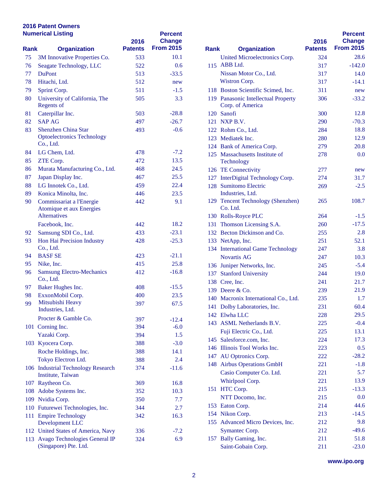|      | <b>Numerical Listing</b>                                | 2016           | <b>Percent</b><br><b>Change</b> |             |                                       |
|------|---------------------------------------------------------|----------------|---------------------------------|-------------|---------------------------------------|
| Rank | <b>Organization</b>                                     | <b>Patents</b> | <b>From 2015</b>                | <b>Rank</b> | <b>Organization</b>                   |
| 75   | 3M Innovative Properties Co.                            | 533            | 10.1                            |             | <b>United Microelectronic</b>         |
| 76   | Seagate Technology, LLC                                 | 522            | 0.6                             |             | 115 ABB Ltd.                          |
| 77   | <b>DuPont</b>                                           | 513            | $-33.5$                         |             | Nissan Motor Co., Ltd                 |
| 78   | Hitachi, Ltd.                                           | 512            | new                             |             | Wistron Corp.                         |
| 79   | Sprint Corp.                                            | 511            | $-1.5$                          |             | 118 Boston Scientific Scin            |
| 80   | University of California, The                           | 505            | 3.3                             |             | 119 Panasonic Intellectual            |
|      | <b>Regents of</b>                                       |                |                                 |             | Corp. of America                      |
| 81   | Caterpillar Inc.                                        | 503            | $-28.8$                         |             | 120 Sanofi                            |
| 82   | <b>SAP AG</b>                                           | 497            | $-26.7$                         |             | 121 NXP B.V.                          |
| 83   | <b>Shenzhen China Star</b>                              | 493            | $-0.6$                          |             | 122 Rohm Co., Ltd.                    |
|      | <b>Optoelectronics Technology</b>                       |                |                                 |             | 123 Mediatek Inc.                     |
|      | Co., Ltd.                                               |                |                                 |             | 124 Bank of America Corp              |
| 84   | LG Chem, Ltd.                                           | 478            | $-7.2$                          |             | 125 Massachusetts Institute           |
| 85   | ZTE Corp.                                               | 472            | 13.5                            |             | Technology                            |
| 86   | Murata Manufacturing Co., Ltd.                          | 468            | 24.5                            |             | 126 TE Connectivity                   |
| 87   | Japan Display Inc.                                      | 467            | 25.5                            |             | 127 InterDigital Technolog            |
| 88   | LG Innotek Co., Ltd.                                    | 459            | 22.4                            |             | 128 Sumitomo Electric                 |
| 89   | Konica Minolta, Inc.                                    | 446            | 23.5                            |             | Industries, Ltd.                      |
| 90   | Commissariat a l'Energie<br>Atomique et aux Energies    | 442            | 9.1                             |             | 129 Tencent Technology (S<br>Co. Ltd. |
|      | <b>Alternatives</b>                                     |                |                                 |             | 130 Rolls-Royce PLC                   |
|      | Facebook, Inc.                                          | 442            | 18.2                            |             | 131 Thomson Licensing S.              |
| 92   | Samsung SDI Co., Ltd.                                   | 433            | $-23.1$                         |             | 132 Becton Dickinson and              |
| 93   | Hon Hai Precision Industry                              | 428            | $-25.3$                         |             | 133 NetApp, Inc.                      |
|      | Co., Ltd.                                               |                |                                 |             | 134 International Game Te             |
| 94   | <b>BASF SE</b>                                          | 423            | $-21.1$                         |             | <b>Novartis AG</b>                    |
| 95   | Nike, Inc.                                              | 415            | 25.8                            |             | 136 Juniper Networks, Inc.            |
| 96   | <b>Samsung Electro-Mechanics</b>                        | 412            | $-16.8$                         |             | 137 Stanford University               |
|      | Co., Ltd.                                               |                |                                 |             | 138 Cree, Inc.                        |
| 97   | Baker Hughes Inc.                                       | 408            | $-15.5$                         |             | 139 Deere & Co.                       |
| 98   | ExxonMobil Corp.                                        | 400            | 23.5                            |             | 140 Macronix International            |
| 99   | Mitsubishi Heavy                                        | 397            | 67.5                            |             | 141 Dolby Laboratories, In            |
|      | Industries, Ltd.                                        |                |                                 |             | 142 Elwha LLC                         |
|      | Procter & Gamble Co.                                    | 397            | $-12.4$                         |             | 143 ASML Netherlands B.               |
|      | 101 Corning Inc.                                        | 394            | $-6.0$                          |             | Fuji Electric Co., Ltd.               |
|      | Yazaki Corp.                                            | 394            | 1.5                             |             | 145 Salesforce.com, Inc.              |
|      | 103 Kyocera Corp.                                       | 388            | $-3.0$                          |             | 146 Illinois Tool Works In            |
|      | Roche Holdings, Inc.                                    | 388            | 14.1                            |             | 147 AU Optronics Corp.                |
|      | Tokyo Electron Ltd.                                     | 388            | 2.4                             |             | 148 Airbus Operations Gm              |
|      | 106 Industrial Technology Research<br>Institute, Taiwan | 374            | $-11.6$                         |             | Casio Computer Co. L                  |
|      | 107 Raytheon Co.                                        | 369            | 16.8                            |             | Whirlpool Corp.                       |
|      | 108 Adobe Systems Inc.                                  | 352            | 10.3                            |             | 151 HTC Corp.                         |
|      | 109 Nvidia Corp.                                        | 350            | 7.7                             |             | NTT Docomo, Inc.                      |
|      | 110 Futurewei Technologies, Inc.                        | 344            | 2.7                             |             | 153 Eaton Corp.                       |
|      | 111 Empire Technology                                   | 342            | 16.3                            |             | 154 Nikon Corp.                       |
|      | Development LLC                                         |                |                                 |             | 155 Advanced Micro Devi               |
|      | 112 United States of America, Navy                      | 336            | $-7.2$                          |             | Symantec Corp.                        |
|      | 113 Avago Technologies General IP                       | 324            | 6.9                             |             | 157 Bally Gaming, Inc.                |
|      | (Singapore) Pte. Ltd.                                   |                |                                 |             | Saint-Gobain Corp.                    |

|      |                                               |                        | <b>Percent</b>             |
|------|-----------------------------------------------|------------------------|----------------------------|
| Rank | <b>Organization</b>                           | 2016<br><b>Patents</b> | Change<br><b>From 2015</b> |
|      | United Microelectronics Corp.                 | 324                    | 28.6                       |
| 115  | ABB Ltd.                                      | 317                    | $-142.0$                   |
|      | Nissan Motor Co., Ltd.                        | 317                    | 14.0                       |
|      | Wistron Corp.                                 | 317                    | $-14.1$                    |
|      | 118 Boston Scientific Scimed, Inc.            | 311                    | new                        |
|      | 119 Panasonic Intellectual Property           | 306                    | $-33.2$                    |
|      | Corp. of America                              |                        |                            |
|      | 120 Sanofi                                    | 300                    | 12.8                       |
|      | 121 NXP B.V.                                  | 290                    | $-70.3$                    |
|      | 122 Rohm Co., Ltd.                            | 284                    | 18.8                       |
|      | 123 Mediatek Inc.                             | 280                    | 12.9                       |
|      | 124 Bank of America Corp.                     | 279                    | 20.8                       |
|      | 125 Massachusetts Institute of                | 278                    | 0.0                        |
|      | Technology                                    |                        |                            |
|      | 126 TE Connectivity                           | 277                    | new                        |
|      | 127 InterDigital Technology Corp.             | 274                    | 31.7                       |
|      | 128 Sumitomo Electric                         | 269                    | $-2.5$                     |
|      | Industries, Ltd.                              |                        |                            |
|      | 129 Tencent Technology (Shenzhen)<br>Co. Ltd. | 265                    | 108.7                      |
|      | 130 Rolls-Royce PLC                           | 264                    | $-1.5$                     |
|      | 131 Thomson Licensing S.A.                    | 260                    | $-17.5$                    |
|      | 132 Becton Dickinson and Co.                  | 255                    | 2.8                        |
|      | 133 NetApp, Inc.                              | 251                    | 52.1                       |
|      | 134 International Game Technology             | 247                    | 3.8                        |
|      | <b>Novartis AG</b>                            | 247                    | 10.3                       |
|      | 136 Juniper Networks, Inc.                    | 245                    | $-5.4$                     |
|      | 137 Stanford University                       | 244                    | 19.0                       |
|      | 138 Cree, Inc.                                | 241                    | 21.7                       |
|      | 139 Deere & Co.                               | 239                    | 21.9                       |
|      | 140 Macronix International Co., Ltd.          | 235                    | 1.7                        |
|      | 141 Dolby Laboratories, Inc.                  | 231                    | 60.4                       |
|      | 142 Elwha LLC                                 | 228                    | 29.5                       |
|      | 143 ASML Netherlands B.V.                     | 225                    | $-0.4$                     |
|      | Fuji Electric Co., Ltd.                       | 225                    | 13.1                       |
| 145  | Salesforce.com, Inc.                          | 224                    | 17.3                       |
|      | 146 Illinois Tool Works Inc.                  | 223                    | 0.5                        |
|      | 147 AU Optronics Corp.                        | 222                    | $-28.2$                    |
| 148  | <b>Airbus Operations GmbH</b>                 | 221                    | $-1.8$                     |
|      | Casio Computer Co. Ltd.                       | 221                    | 5.7                        |
|      | Whirlpool Corp.                               | 221                    | 13.9                       |
| 151  | HTC Corp.                                     | 215                    | $-13.3$                    |
|      | NTT Docomo, Inc.                              | 215                    | 0.0                        |
|      | 153 Eaton Corp.                               | 214                    | 44.6                       |
|      | 154 Nikon Corp.                               | 213                    | $-14.5$                    |
|      | 155 Advanced Micro Devices, Inc.              | 212                    | 9.8                        |
|      | Symantec Corp.                                | 212                    | $-49.6$                    |
|      | 157 Bally Gaming, Inc.                        | 211                    | 51.8                       |
|      | Saint-Gobain Corp.                            | 211                    | $-23.0$                    |

**www.ipo.org**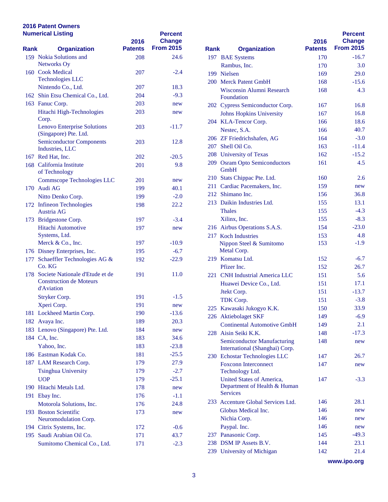|      | <b>Numerical Listing</b>                                 | 2016           | <b>Percent</b><br><b>Change</b> |             |                                       |
|------|----------------------------------------------------------|----------------|---------------------------------|-------------|---------------------------------------|
| Rank | <b>Organization</b>                                      | <b>Patents</b> | <b>From 2015</b>                | <b>Rank</b> | <b>Organization</b>                   |
|      | 159 Nokia Solutions and<br>Networks Oy                   | 208            | 24.6                            |             | 197 BAE Systems<br>Rambus, Inc.       |
|      | 160 Cook Medical                                         | 207            | $-2.4$                          |             | 199 Nielsen                           |
|      | <b>Technologies LLC</b>                                  |                |                                 |             | 200 Merck Patent GmbH                 |
|      | Nintendo Co., Ltd.                                       | 207            | 18.3                            |             | Wisconsin Alumni Re:                  |
|      | 162 Shin Etsu Chemical Co., Ltd.                         | 204            | $-9.3$                          |             | Foundation                            |
|      | 163 Fanuc Corp.                                          | 203            | new                             |             | 202 Cypress Semiconducto              |
|      | Hitachi High-Technologies                                | 203            | new                             |             | <b>Johns Hopkins Univer</b>           |
|      | Corp.                                                    |                |                                 |             | 204 KLA-Tencor Corp.                  |
|      | <b>Lenovo Enterprise Solutions</b>                       | 203            | -11.7                           |             | Nestec, S.A.                          |
|      | (Singapore) Pte. Ltd.<br><b>Semiconductor Components</b> |                |                                 |             | 206 ZF Friedrichshafen, A             |
|      | Industries, LLC                                          | 203            | 12.8                            |             | 207 Shell Oil Co.                     |
|      | 167 Red Hat, Inc.                                        | 202            | $-20.5$                         |             | 208 University of Texas               |
|      | 168 California Institute                                 | 201            | 9.8                             |             | 209 Osram Opto Semicond               |
|      | of Technology                                            |                |                                 |             | <b>GmbH</b>                           |
|      | Commscope Technologies LLC                               | 201            | new                             |             | 210 Stats Chippac Pte. Ltd            |
|      | 170 Audi AG                                              | 199            | 40.1                            |             | 211 Cardiac Pacemakers, I             |
|      | Nitto Denko Corp.                                        | 199            | $-2.0$                          |             | 212 Shimano Inc.                      |
|      | 172 Infineon Technologies                                | 198            | 22.2                            |             | 213 Daikin Industries Ltd.            |
|      | Austria AG                                               |                |                                 |             | <b>Thales</b>                         |
|      | 173 Bridgestone Corp.                                    | 197            | $-3.4$                          |             | Xilinx, Inc.                          |
|      | <b>Hitachi Automotive</b>                                | 197            | new                             |             | 216 Airbus Operations S.A             |
|      | Systems, Ltd.                                            |                |                                 |             | 217 Koch Industries                   |
|      | Merck & Co., Inc.                                        | 197            | $-10.9$                         |             | Nippon Steel & Sumito                 |
|      | 176 Disney Enterprises, Inc.                             | 195            | $-6.7$                          |             | Metal Corp.                           |
|      | 177 Schaeffler Technologies AG &<br>Co. KG               | 192            | $-22.9$                         |             | 219 Komatsu Ltd.                      |
|      | 178 Societe Nationale d'Etude et de                      | 191            | 11.0                            |             | Pfizer Inc.                           |
|      | <b>Construction de Moteurs</b>                           |                |                                 |             | 221 CNH Industrial Ameri              |
|      | d'Aviation                                               |                |                                 |             | Huawei Device Co., L                  |
|      | Stryker Corp.                                            | 191            | $-1.5$                          |             | Jtekt Corp.                           |
|      | Xperi Corp.                                              | 191            | new                             |             | TDK Corp.<br>225 Kawasaki Jukogyo K.1 |
|      | 181 Lockheed Martin Corp.                                | 190            | $-13.6$                         |             | 226 Aktiebolaget SKF                  |
|      | 182 Avaya Inc.                                           | 189            | 20.3                            |             | <b>Continental Automotiv</b>          |
|      | 183 Lenovo (Singapore) Pte. Ltd.                         | 184            | new                             |             | 228 Aisin Seiki K.K.                  |
|      | 184 CA, Inc.                                             | 183            | 34.6                            |             | <b>Semiconductor Manuf</b>            |
|      | Yahoo, Inc.                                              | 183            | $-23.8$                         |             | <b>International</b> (Shangha         |
|      | 186 Eastman Kodak Co.                                    | 181            | $-25.5$                         |             | 230 Echostar Technologies             |
|      | 187 LAM Research Corp.                                   | 179            | 27.9                            |             | Foxconn Interconnect                  |
|      | Tsinghua University                                      | 179            | $-2.7$                          |             | Technology Ltd.                       |
|      | <b>UOP</b>                                               | 179            | $-25.1$                         |             | <b>United States of Amer</b>          |
|      | 190 Hitachi Metals Ltd.                                  | 178            | new                             |             | Department of Health                  |
|      | 191 Ebay Inc.                                            | 176            | $-1.1$                          |             | <b>Services</b>                       |
|      | Motorola Solutions, Inc.                                 | 176            | 24.8                            |             | 233 Accenture Global Serv             |
|      | 193 Boston Scientific                                    | 173            | new                             |             | Globus Medical Inc.                   |
|      | Neuromodulation Corp.                                    |                |                                 |             | Nichia Corp.                          |
|      | 194 Citrix Systems, Inc.                                 | 172            | $-0.6$                          |             | Paypal. Inc.                          |
|      | 195 Saudi Arabian Oil Co.                                | 171            | 43.7                            |             | 237 Panasonic Corp.                   |
|      | Sumitomo Chemical Co., Ltd.                              | 171            | $-2.3$                          |             | 238 DSM IP Assets B.V.                |

|      |                                                                                     | 2016<br><b>Patents</b> | <b>Percent</b><br>Change<br><b>From 2015</b> |
|------|-------------------------------------------------------------------------------------|------------------------|----------------------------------------------|
| Rank | <b>Organization</b>                                                                 |                        |                                              |
|      | 197 BAE Systems                                                                     | 170                    | $-16.7$                                      |
|      | Rambus, Inc.                                                                        | 170                    | 3.0                                          |
|      | 199 Nielsen                                                                         | 169                    | 29.0                                         |
|      | 200 Merck Patent GmbH                                                               | 168                    | $-15.6$                                      |
|      | Wisconsin Alumni Research<br>Foundation                                             | 168                    | 4.3                                          |
|      | 202 Cypress Semiconductor Corp.                                                     | 167                    | 16.8                                         |
|      | <b>Johns Hopkins University</b>                                                     | 167                    | 16.8                                         |
|      | 204 KLA-Tencor Corp.                                                                | 166                    | 18.6                                         |
|      | Nestec, S.A.                                                                        | 166                    | 40.7                                         |
|      | 206 ZF Friedrichshafen, AG                                                          | 164                    | $-3.0$                                       |
|      | 207 Shell Oil Co.                                                                   | 163                    | $-11.4$                                      |
|      | 208 University of Texas                                                             | 162                    | $-15.2$                                      |
| 209  | <b>Osram Opto Semiconductors</b><br>GmbH                                            | 161                    | 4.5                                          |
|      | 210 Stats Chippac Pte. Ltd.                                                         | 160                    | 2.6                                          |
|      | 211 Cardiac Pacemakers, Inc.                                                        | 159                    | new                                          |
|      | 212 Shimano Inc.                                                                    | 156                    | 36.8                                         |
|      | 213 Daikin Industries Ltd.                                                          | 155                    | 13.1                                         |
|      | <b>Thales</b>                                                                       | 155                    | $-4.3$                                       |
|      | Xilinx, Inc.                                                                        | 155                    | $-8.3$                                       |
|      | 216 Airbus Operations S.A.S.                                                        | 154                    | $-23.0$                                      |
|      | 217 Koch Industries                                                                 | 153                    | 4.8                                          |
|      | Nippon Steel & Sumitomo<br>Metal Corp.                                              | 153                    | $-1.9$                                       |
|      | 219 Komatsu Ltd.                                                                    | 152                    | $-6.7$                                       |
|      | Pfizer Inc.                                                                         | 152                    | 26.7                                         |
|      | 221 CNH Industrial America LLC                                                      | 151                    | 5.6                                          |
|      | Huawei Device Co., Ltd.                                                             | 151                    | 17.1                                         |
|      | Jtekt Corp.                                                                         | 151                    | $-13.7$                                      |
|      | TDK Corp.                                                                           | 151                    | $-3.8$                                       |
| 225  | Kawasaki Jukogyo K.K.                                                               | 150                    | 33.9                                         |
|      | 226 Aktiebolaget SKF                                                                | 149                    | $-6.9$                                       |
|      | <b>Continental Automotive GmbH</b>                                                  | 149                    | 2.1                                          |
| 228  | Aisin Seiki K.K.                                                                    | 148                    | $-17.3$                                      |
|      | <b>Semiconductor Manufacturing</b><br>International (Shanghai) Corp.                | 148                    | new                                          |
| 230  | Echostar Technologies LLC                                                           | 147                    | 26.7                                         |
|      | <b>Foxconn Interconnect</b><br>Technology Ltd.                                      | 147                    | new                                          |
|      | <b>United States of America,</b><br>Department of Health & Human<br><b>Services</b> | 147                    | $-3.3$                                       |
| 233  | Accenture Global Services Ltd.                                                      | 146                    | 28.1                                         |
|      | Globus Medical Inc.                                                                 | 146                    | new                                          |
|      | Nichia Corp.                                                                        | 146                    | new                                          |
|      | Paypal. Inc.                                                                        | 146                    | new                                          |
| 237  | Panasonic Corp.                                                                     | 145                    | $-49.3$                                      |
|      | 238 DSM IP Assets B.V.                                                              | 144                    | 23.1                                         |
| 239  | University of Michigan                                                              | 142                    | 21.4                                         |
|      |                                                                                     |                        |                                              |

**www.ipo.org**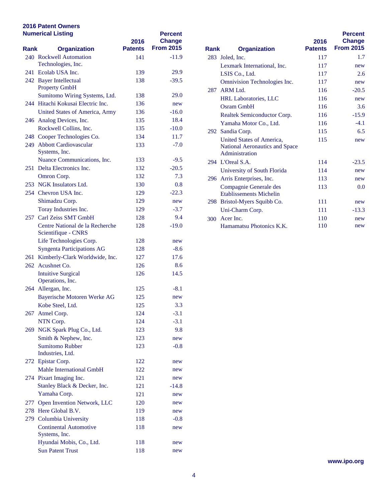| <b>Numerical Listing</b> |                                                        | 2016           | <b>Percent</b><br><b>Change</b> |      |                                                 |
|--------------------------|--------------------------------------------------------|----------------|---------------------------------|------|-------------------------------------------------|
| Rank                     | <b>Organization</b>                                    | <b>Patents</b> | <b>From 2015</b>                | Rank | <b>Organization</b>                             |
|                          | 240 Rockwell Automation                                | 141            | $-11.9$                         |      | 283 Joled, Inc.                                 |
|                          | Technologies, Inc.                                     |                |                                 |      | <b>Lexmark International</b>                    |
|                          | 241 Ecolab USA Inc.                                    | 139            | 29.9                            |      | LSIS Co., Ltd.                                  |
|                          | 242 Bayer Intellectual<br><b>Property GmbH</b>         | 138            | $-39.5$                         |      | <b>Omnivision Technolog</b>                     |
|                          | Sumitomo Wiring Systems, Ltd.                          | 138            | 29.0                            |      | 287 ARM Ltd.                                    |
|                          | 244 Hitachi Kokusai Electric Inc.                      | 136            | new                             |      | HRL Laboratories, LL                            |
|                          | United States of America, Army                         | 136            | $-16.0$                         |      | <b>Osram GmbH</b>                               |
|                          | 246 Analog Devices, Inc.                               | 135            | 18.4                            |      | <b>Realtek Semiconducto</b>                     |
|                          | Rockwell Collins, Inc.                                 | 135            | $-10.0$                         |      | Yamaha Motor Co., Lt                            |
|                          | 248 Cooper Technologies Co.                            | 134            | 11.7                            |      | 292 Sandia Corp.                                |
|                          | 249 Abbott Cardiovascular                              | 133            | $-7.0$                          |      | <b>United States of Amer</b>                    |
|                          | Systems, Inc.                                          |                |                                 |      | <b>National Aeronautics a</b><br>Administration |
|                          | Nuance Communications, Inc.                            | 133            | $-9.5$                          |      | 294 L'Oreal S.A.                                |
|                          | 251 Delta Electronics Inc.                             | 132            | $-20.5$                         |      | University of South Fl                          |
|                          | Omron Corp.                                            | 132            | 7.3                             |      | 296 Arris Enterprises, Inc.                     |
|                          | 253 NGK Insulators Ltd.                                | 130            | 0.8                             |      | Compagnie Generale d                            |
|                          | 254 Chevron USA Inc.                                   | 129            | $-22.3$                         |      | <b>Etablissements Michel</b>                    |
|                          | Shimadzu Corp.                                         | 129            | new                             |      | 298 Bristol-Myers Squibb                        |
|                          | Toray Industries Inc.                                  | 129            | $-3.7$                          |      | Uni-Charm Corp.                                 |
|                          | 257 Carl Zeiss SMT GmbH                                | 128            | 9.4                             |      | 300 Acer Inc.                                   |
|                          | Centre National de la Recherche<br>Scientifique - CNRS | 128            | $-19.0$                         |      | <b>Hamamatsu Photonics</b>                      |
|                          | Life Technologies Corp.                                | 128            | new                             |      |                                                 |
|                          | <b>Syngenta Participations AG</b>                      | 128            | $-8.6$                          |      |                                                 |
|                          | 261 Kimberly-Clark Worldwide, Inc.                     | 127            | 17.6                            |      |                                                 |
|                          | 262 Acushnet Co.                                       | 126            | 8.6                             |      |                                                 |
|                          | <b>Intuitive Surgical</b>                              | 126            | 14.5                            |      |                                                 |
|                          | Operations, Inc.                                       |                |                                 |      |                                                 |
|                          | 264 Allergan, Inc.                                     | 125            | $-8.1$                          |      |                                                 |
|                          | <b>Bayerische Motoren Werke AG</b>                     | 125            | new                             |      |                                                 |
|                          | Kobe Steel, Ltd.                                       | 125            | 3.3                             |      |                                                 |
|                          | 267 Atmel Corp.                                        | 124            | $-3.1$                          |      |                                                 |
|                          | NTN Corp.                                              | 124            | $-3.1$                          |      |                                                 |
|                          | 269 NGK Spark Plug Co., Ltd.                           | 123            | 9.8                             |      |                                                 |
|                          | Smith & Nephew, Inc.                                   | 123            | new                             |      |                                                 |
|                          | <b>Sumitomo Rubber</b>                                 | 123            | $-0.8$                          |      |                                                 |
|                          | Industries, Ltd.                                       |                |                                 |      |                                                 |
|                          | 272 Epistar Corp.                                      | 122            | new                             |      |                                                 |
|                          | <b>Mahle International GmbH</b>                        | 122            | new                             |      |                                                 |
|                          | 274 Pixart Imaging Inc.                                | 121            | new                             |      |                                                 |
|                          | Stanley Black & Decker, Inc.                           | 121            | $-14.8$                         |      |                                                 |
|                          | Yamaha Corp.                                           | 121            | new                             |      |                                                 |
| 277                      | Open Invention Network, LLC                            | 120            | new                             |      |                                                 |
|                          | 278 Here Global B.V.                                   | 119            | new                             |      |                                                 |
|                          | 279 Columbia University                                | 118            | $-0.8$                          |      |                                                 |
|                          | <b>Continental Automotive</b><br>Systems, Inc.         | 118            | new                             |      |                                                 |
|                          | Hyundai Mobis, Co., Ltd.                               | 118            | new                             |      |                                                 |
|                          | <b>Sun Patent Trust</b>                                | 118            | new                             |      |                                                 |

| <b>Rank</b> | <b>Organization</b>                                                           | 2016<br><b>Patents</b> | <b>Percent</b><br><b>Change</b><br><b>From 2015</b> |
|-------------|-------------------------------------------------------------------------------|------------------------|-----------------------------------------------------|
| 283         | Joled, Inc.                                                                   | 117                    | 1.7                                                 |
|             | Lexmark International, Inc.                                                   | 117                    | new                                                 |
|             | LSIS Co., Ltd.                                                                | 117                    | 2.6                                                 |
|             | <b>Omnivision Technologies Inc.</b>                                           | 117                    | new                                                 |
|             | $287$ ARM Ltd.                                                                | 116                    | $-20.5$                                             |
|             | <b>HRL Laboratories, LLC</b>                                                  | 116                    | new                                                 |
|             | Osram GmbH                                                                    | 116                    | 3.6                                                 |
|             | Realtek Semiconductor Corp.                                                   | 116                    | $-15.9$                                             |
|             | Yamaha Motor Co., Ltd.                                                        | 116                    | $-4.1$                                              |
|             | 292 Sandia Corp.                                                              | 115                    | 6.5                                                 |
|             | United States of America.<br>National Aeronautics and Space<br>Administration | 115                    | new                                                 |
|             | 294 L'Oreal S.A.                                                              | 114                    | $-23.5$                                             |
|             | University of South Florida                                                   | 114                    | new                                                 |
|             | 296 Arris Enterprises, Inc.                                                   | 113                    | new                                                 |
|             | Compagnie Generale des<br><b>Etablissements Michelin</b>                      | 113                    | 0.0                                                 |
|             | 298 Bristol-Myers Squibb Co.                                                  | 111                    | new                                                 |
|             | Uni-Charm Corp.                                                               | 111                    | $-13.3$                                             |
|             | 300 Acer Inc.                                                                 | 110                    | new                                                 |
|             | Hamamatsu Photonics K.K.                                                      | 110                    | new                                                 |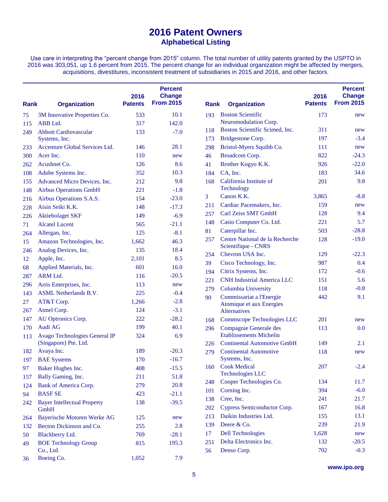Use care in interpreting the "percent change from 2015" column. The total number of utility patents granted by the USPTO in 2016 was 303,051, up 1.6 percent from 2015. The percent change for an individual organization might be affected by mergers, acquisitions, divestitures, inconsistent treatment of subsidiaries in 2015 and 2016, and other factors.

| <b>Rank</b> | <b>Organization</b>                | 2016<br><b>Patents</b> | <b>Percent</b><br><b>Change</b><br><b>From 2015</b> | <b>Rank</b> | <b>Organization</b>                                  | 2016<br><b>Patents</b> | <b>Percent</b><br><b>Change</b><br><b>From 2015</b> |
|-------------|------------------------------------|------------------------|-----------------------------------------------------|-------------|------------------------------------------------------|------------------------|-----------------------------------------------------|
| 75          | 3M Innovative Properties Co.       | 533                    | 10.1                                                | 193         | <b>Boston Scientific</b>                             | 173                    | new                                                 |
| 115         | ABB Ltd.                           | 317                    | 142.0                                               |             | Neuromodulation Corp.                                |                        |                                                     |
| 249         | <b>Abbott Cardiovascular</b>       | 133                    | $-7.0$                                              | 118         | Boston Scientific Scimed, Inc.                       | 311                    | new                                                 |
|             | Systems, Inc.                      |                        |                                                     | 173         | Bridgestone Corp.                                    | 197                    | $-3.4$                                              |
| 233         | Accenture Global Services Ltd.     | 146                    | 28.1                                                | 298         | Bristol-Myers Squibb Co.                             | 111                    | new                                                 |
| 300         | Acer Inc.                          | 110                    | new                                                 | 46          | Broadcom Corp.                                       | 822                    | $-24.3$                                             |
| 262         | Acushnet Co.                       | 126                    | 8.6                                                 | 41          | Brother Kogyo K.K.                                   | 926                    | $-22.0$                                             |
| 108         | Adobe Systems Inc.                 | 352                    | 10.3                                                | 184         | CA, Inc.                                             | 183                    | 34.6                                                |
| 155         | Advanced Micro Devices, Inc.       | 212                    | 9.8                                                 | 168         | California Institute of                              | 201                    | 9.8                                                 |
| 148         | <b>Airbus Operations GmbH</b>      | 221                    | $-1.8$                                              |             | Technology                                           |                        |                                                     |
| 216         | Airbus Operations S.A.S.           | 154                    | $-23.0$                                             | 3           | Canon K.K.                                           | 3,865                  | $-8.8$                                              |
| 228         | Aisin Seiki K.K.                   | 148                    | $-17.3$                                             | 211         | Cardiac Pacemakers, Inc.                             | 159                    | new                                                 |
| 226         | <b>Aktiebolaget SKF</b>            | 149                    | $-6.9$                                              | 257         | Carl Zeiss SMT GmbH                                  | 128                    | 9.4                                                 |
| 71          | <b>Alcatel Lucent</b>              | 565                    | $-21.1$                                             | 148         | Casio Computer Co. Ltd.                              | 221                    | 5.7                                                 |
| 264         | Allergan, Inc.                     | 125                    | $-8.1$                                              | 81          | Caterpillar Inc.                                     | 503                    | $-28.8$                                             |
| 15          | Amazon Technologies, Inc.          | 1,662                  | 46.3                                                | 257         | Centre National de la Recherche                      | 128                    | $-19.0$                                             |
| 246         | Analog Devices, Inc.               | 135                    | 18.4                                                |             | Scientifique - CNRS                                  |                        |                                                     |
| 12          | Apple, Inc.                        | 2,101                  | 8.5                                                 | 254         | Chevron USA Inc.                                     | 129                    | $-22.3$                                             |
| 68          | Applied Materials, Inc.            | 601                    | 16.0                                                | 39          | Cisco Technology, Inc.                               | 987                    | 0.4                                                 |
| 287         | ARM Ltd.                           | 116                    | $-20.5$                                             | 194         | Citrix Systems, Inc.                                 | 172                    | $-0.6$                                              |
| 296         | Arris Enterprises, Inc.            | 113                    | new                                                 | 221         | <b>CNH Industrial America LLC</b>                    | 151                    | 5.6                                                 |
| 143         | <b>ASML</b> Netherlands B.V.       | 225                    | $-0.4$                                              | 279         | Columbia University                                  | 118                    | $-0.8$                                              |
| 27          | AT&T Corp.                         | 1,266                  | $-2.8$                                              | 90          | Commissariat a l'Energie<br>Atomique et aux Energies | 442                    | 9.1                                                 |
| 267         | Atmel Corp.                        | 124                    | $-3.1$                                              |             | <b>Alternatives</b>                                  |                        |                                                     |
| 147         | AU Optronics Corp.                 | 222                    | $-28.2$                                             | 168         | Commscope Technologies LLC                           | 201                    | new                                                 |
| 170         | Audi AG                            | 199                    | 40.1                                                | 296         | Compagnie Generale des                               | 113                    | 0.0                                                 |
| 113         | Avago Technologies General IP      | 324                    | 6.9                                                 |             | <b>Etablissements Michelin</b>                       |                        |                                                     |
|             | (Singapore) Pte. Ltd.              |                        |                                                     | 226         | <b>Continental Automotive GmbH</b>                   | 149                    | 2.1                                                 |
| 182         | Avaya Inc.                         | 189                    | $-20.3$                                             | 279         | <b>Continental Automotive</b>                        | 118                    | new                                                 |
| 197         | <b>BAE</b> Systems                 | 170                    | $-16.7$                                             |             | Systems, Inc.                                        |                        |                                                     |
| 97          | Baker Hughes Inc.                  | 408                    | $-15.5$                                             | 160         | <b>Cook Medical</b>                                  | 207                    | $-2.4$                                              |
| 157         | Bally Gaming, Inc.                 | 211                    | 51.8                                                |             | <b>Technologies LLC</b>                              |                        |                                                     |
| 124         | Bank of America Corp.              | 279                    | 20.8                                                | 248         | Cooper Technologies Co.                              | 134                    | 11.7                                                |
| 94          | <b>BASFSE</b>                      | 423                    | $-21.1$                                             | 101         | Corning Inc.                                         | 394                    | $-6.0$                                              |
| 242         | <b>Bayer Intellectual Property</b> | 138                    | $-39.5$                                             | 138         | Cree, Inc.                                           | 241                    | 21.7                                                |
|             | GmbH                               |                        |                                                     | 202         | Cypress Semiconductor Corp.                          | 167                    | 16.8                                                |
| 264         | Bayerische Motoren Werke AG        | 125                    | new                                                 | 213         | Daikin Industries Ltd.                               | 155                    | 13.1                                                |
| 132         | Becton Dickinson and Co.           | 255                    | 2.8                                                 | 139         | Deere & Co.                                          | 239                    | 21.9                                                |
| 50          | Blackberry Ltd.                    | 769                    | $-28.1$                                             | 17          | <b>Dell Technologies</b>                             | 1,628                  | new                                                 |
| 49          | <b>BOE Technology Group</b>        | 815                    | 195.3                                               | 251         | Delta Electronics Inc.                               | 132                    | $-20.5$                                             |
|             | Co., Ltd.                          |                        |                                                     | 56          | Denso Corp.                                          | 702                    | $-0.3$                                              |
| 36          | Boeing Co.                         | 1,052                  | 7.9                                                 |             |                                                      |                        |                                                     |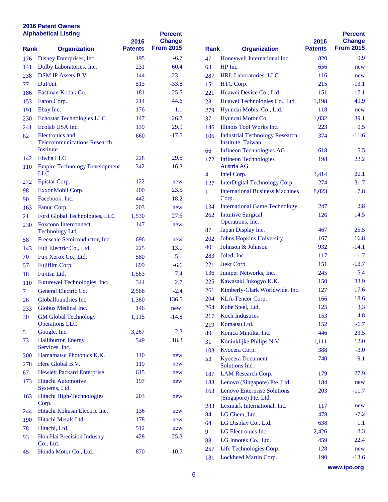|             | <b>Alphabetical Listing</b>                           | 2016           | <b>Percent</b><br><b>Change</b> |              |                                                     |
|-------------|-------------------------------------------------------|----------------|---------------------------------|--------------|-----------------------------------------------------|
| <b>Rank</b> | <b>Organization</b>                                   | <b>Patents</b> | <b>From 2015</b>                | <b>Rank</b>  | <b>Organization</b>                                 |
| 176         | Disney Enterprises, Inc.                              | 195            | $-6.7$                          | 47           | Honeywell International                             |
| 141         | Dolby Laboratories, Inc.                              | 231            | 60.4                            | 63           | HP Inc.                                             |
| 238         | <b>DSM IP Assets B.V.</b>                             | 144            | 23.1                            | 287          | <b>HRL Laboratories, LLC</b>                        |
| 77          | <b>DuPont</b>                                         | 513            | $-33.8$                         | 151          | HTC Corp.                                           |
| 186         | Eastman Kodak Co.                                     | 181            | $-25.5$                         | 221          | Huawei Device Co., Ltd                              |
| 153         | Eaton Corp.                                           | 214            | 44.6                            | 28           | Huawei Technologies C                               |
| 191         | Ebay Inc.                                             | 176            | $-1.1$                          | 279          | Hyundai Mobis, Co., Ltd                             |
| 230         | Echostar Technologies LLC                             | 147            | 26.7                            | 37           | Hyundai Motor Co.                                   |
| 241         | Ecolab USA Inc.                                       | 139            | 29.9                            | 146          | Illinois Tool Works Inc.                            |
| 62          | Electronics and<br><b>Telecommunications Research</b> | 660            | $-17.5$                         | 106          | <b>Industrial Technology R</b><br>Institute, Taiwan |
|             | Institute                                             |                |                                 | 66           | Infineon Technologies A                             |
| 142         | Elwha LLC                                             | 228            | 29.5                            | 172          | <b>Infineon Technologies</b>                        |
| 110         | <b>Empire Technology Development</b><br><b>LLC</b>    | 342            | 16.3                            | 4            | Austria AG<br>Intel Corp.                           |
| 272         | Epistar Corp.                                         | 122            | new                             | 127          | <b>InterDigital Technology</b>                      |
| 98          | ExxonMobil Corp.                                      | 400            | 23.5                            | $\mathbf{1}$ | <b>International Business N</b>                     |
| 90          | Facebook, Inc.                                        | 442            | 18.2                            |              | Corp.                                               |
| 163         | Fanuc Corp.                                           | 203            | new                             | 134          | <b>International Game Tecl</b>                      |
| 21          | Ford Global Technologies, LLC                         | 1,530          | 27.6                            | 262          | <b>Intuitive Surgical</b>                           |
| 230         | <b>Foxconn Interconnect</b>                           | 147            | new                             |              | Operations, Inc.                                    |
|             | Technology Ltd.                                       |                |                                 | 87           | Japan Display Inc.                                  |
| 58          | Freescale Semiconductor, Inc.                         | 696            | new                             | <b>202</b>   | <b>Johns Hopkins Universi</b>                       |
| 143         | Fuji Electric Co., Ltd.                               | 225            | 13.1                            | 40           | Johnson & Johnson                                   |
| 70          | Fuji Xerox Co., Ltd.                                  | 580            | $-5.1$                          | 283          | Joled, Inc.                                         |
| 57          | Fujifilm Corp.                                        | 699            | $-6.6$                          | 221          | Jeekt Corp.                                         |
| 18          | Fujitsu Ltd.                                          | 1,563          | 7.4                             | 136          | Juniper Networks, Inc.                              |
| 110         | Futurewei Technologies, Inc.                          | 344            | 2.7                             | 225          | Kawasaki Jukogyo K.K.                               |
| $\tau$      | General Electric Co.                                  | 2,566          | $-2.4$                          | 261          | Kimberly-Clark Worldw                               |
| 26          | Globalfoundries Inc.                                  | 1,360          | 136.5                           | 204          | KLA-Tencor Corp.                                    |
| 233         | Globus Medical Inc.                                   | 146            | new                             | 264          | Kobe Steel, Ltd.                                    |
| 30          | <b>GM Global Technology</b>                           | 1,115          | $-14.8$                         | 217          | <b>Koch Industries</b>                              |
|             | <b>Operations LLC</b>                                 |                |                                 | 219          | Komatsu Ltd.                                        |
| 5           | Google, Inc.                                          | 3,267          | 2.3                             | 89           | Konica Minolta, Inc.                                |
| 73          | <b>Halliburton Energy</b><br>Services, Inc.           | 549            | 18.3                            | 31           | Koninklijke Philips N.V                             |
| 300         | Hamamatsu Photonics K.K.                              | 110            | new                             | 103          | Kyocera Corp.                                       |
| 278         | Here Global B.V.                                      | 119            | new                             | 53           | <b>Kyocera Document</b>                             |
| 67          | <b>Hewlett Packard Enterprise</b>                     | 615            | new                             |              | Solutions Inc.                                      |
| 173         | Hitachi Automotive                                    | 197            | new                             | 187          | LAM Research Corp.                                  |
|             | Systems, Ltd.                                         |                |                                 | 183          | Lenovo (Singapore) Pte.<br>Lenovo Enterprise Solut  |
| 163         | Hitachi High-Technologies<br>Corp.                    | 203            | new                             | 163          | (Singapore) Pte. Ltd.<br>Lexmark International, l   |
| 244         | Hitachi Kokusai Electric Inc.                         | 136            | new                             | 283          |                                                     |
| 190         | Hitachi Metals Ltd.                                   | 178            | new                             | 84           | LG Chem, Ltd.                                       |
| 78          | Hitachi, Ltd.                                         | 512            | new                             | 64<br>9      | LG Display Co., Ltd.<br>LG Electronics Inc.         |
| 93          | Hon Hai Precision Industry                            | 428            | $-25.3$                         |              |                                                     |
|             | Co., Ltd.                                             |                |                                 | 88           | LG Innotek Co., Ltd.<br>Life Technologies Corp.     |
| 45          | Honda Motor Co., Ltd.                                 | 870            | $-10.7$                         | 257          | 181 Lockheed Martin Corp                            |

|             |                                                             | 2016           | <b>Percent</b><br><b>Change</b> |
|-------------|-------------------------------------------------------------|----------------|---------------------------------|
| <b>Rank</b> | <b>Organization</b>                                         | <b>Patents</b> | <b>From 2015</b>                |
| 47          | Honeywell International Inc.                                | 820            | 9.9                             |
| 63          | HP Inc.                                                     | 656            | new                             |
| 287         | <b>HRL Laboratories, LLC</b>                                | 116            | new                             |
| 151         | HTC Corp.                                                   | 215            | $-13.1$                         |
| 221         | Huawei Device Co., Ltd.                                     | 151            | 17.1                            |
| 28          | Huawei Technologies Co., Ltd.                               | 1,198          | 49.9                            |
| 279         | Hyundai Mobis, Co., Ltd.                                    | 118            | new                             |
| 37          | Hyundai Motor Co.                                           | 1,032          | 39.1                            |
| 146         | Illinois Tool Works Inc.                                    | 223            | 0.5                             |
| 106         | <b>Industrial Technology Research</b><br>Institute, Taiwan  | 374            | $-11.6$                         |
| 66          | <b>Infineon Technologies AG</b>                             | 618            | 5.5                             |
| 172         | <b>Infineon Technologies</b><br>Austria AG                  | 198            | 22.2                            |
| 4           | Intel Corp.                                                 | 3,414          | 30.1                            |
| 127         | InterDigital Technology Corp.                               | 274            | 31.7                            |
| 1           | <b>International Business Machines</b><br>Corp.             | 8,023          | 7.8                             |
| 134         | <b>International Game Technology</b>                        | 247            | 3.8                             |
| 262         | <b>Intuitive Surgical</b><br>Operations, Inc.               | 126            | 14.5                            |
| 87          | Japan Display Inc.                                          | 467            | 25.5                            |
| 202         | <b>Johns Hopkins University</b>                             | 167            | 16.8                            |
| 40          | Johnson & Johnson                                           | 932            | $-14.1$                         |
| 283         | Joled, Inc.                                                 | 117            | 1.7                             |
| 221         | Jtekt Corp.                                                 | 151            | $-13.7$                         |
| 136         | Juniper Networks, Inc.                                      | 245            | $-5.4$                          |
| 225         | Kawasaki Jukogyo K.K.                                       | 150            | 33.9                            |
| 261         | Kimberly-Clark Worldwide, Inc.                              | 127            | 17.6                            |
| 204         | KLA-Tencor Corp.                                            | 166            | 18.6                            |
| 264         | Kobe Steel, Ltd.                                            | 125            | 3.3                             |
| 217         | <b>Koch Industries</b>                                      | 153            | 4.8                             |
| 219         | Komatsu Ltd.                                                | 152            | $-6.7$                          |
| 89          | Konica Minolta, Inc.                                        | 446            | 23.5                            |
| 31          | Koninklijke Philips N.V.                                    | 1,111          | 12.0                            |
| 103         | Kyocera Corp.                                               | 388            | $-3.0$                          |
| 53          | <b>Kyocera Document</b><br>Solutions Inc.                   | 740            | 9.1                             |
| 187         | LAM Research Corp.                                          | 179            | 27.9                            |
| 183         | Lenovo (Singapore) Pte. Ltd.                                | 184            | new                             |
| 163         | <b>Lenovo Enterprise Solutions</b><br>(Singapore) Pte. Ltd. | 203            | $-11.7$                         |
| 283         | Lexmark International, Inc.                                 | 117            | new                             |
| 84          | LG Chem, Ltd.                                               | 478            | $-7.2$                          |
| 64          | LG Display Co., Ltd.                                        | 638            | $1.1\,$                         |
| 9           | LG Electronics Inc.                                         | 2,426          | 8.3                             |
| 88          | LG Innotek Co., Ltd.                                        | 459            | 22.4                            |
| 257         | Life Technologies Corp.                                     | 128            | new                             |
| 181         | Lockheed Martin Corp.                                       | 190            | $-13.6$                         |

**www.ipo.org**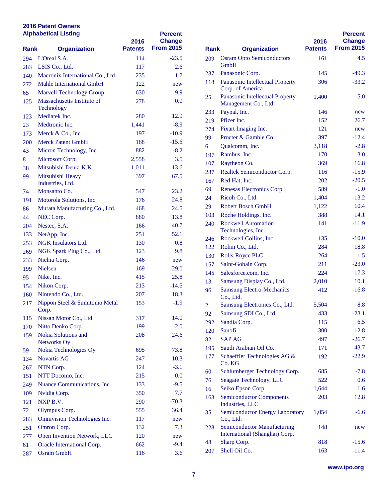|             | <b>Alphabetical Listing</b>              | 2016           | <b>Percent</b><br><b>Change</b> |                |                                                   |  |
|-------------|------------------------------------------|----------------|---------------------------------|----------------|---------------------------------------------------|--|
| <b>Rank</b> | <b>Organization</b>                      | <b>Patents</b> | <b>From 2015</b>                | <b>Rank</b>    | <b>Organization</b>                               |  |
| 294         | L'Oreal S.A.                             | 114            | $-23.5$                         | 209            | <b>Osram Opto Semicondu</b>                       |  |
| 283         | LSIS Co., Ltd.                           | 117            | 2.6                             |                | <b>GmbH</b>                                       |  |
| 140         | Macronix International Co., Ltd.         | 235            | 1.7                             | 237            | Panasonic Corp.                                   |  |
| 272         | Mahle International GmbH                 | 122            | new                             | 118            | Panasonic Intellectual P.<br>Corp. of America     |  |
| 65          | <b>Marvell Technology Group</b>          | 630            | 9.9                             | 25             | Panasonic Intellectual P.                         |  |
| 125         | Massachusetts Institute of<br>Technology | 278            | 0.0                             |                | Management Co., Ltd.                              |  |
| 123         | Mediatek Inc.                            | 280            | 12.9                            | 233            | Paypal. Inc.                                      |  |
| 23          | Medtronic Inc.                           | 1,441          | $-8.9$                          | 219            | Pfizer Inc.                                       |  |
| 173         | Merck & Co., Inc.                        | 197            | $-10.9$                         | 274            | Pixart Imaging Inc.                               |  |
| 200         | <b>Merck Patent GmbH</b>                 | 168            | $-15.6$                         | 99             | Procter & Gamble Co.                              |  |
| 43          | Micron Technology, Inc.                  | 882            | $-8.2$                          | 6              | Qualcomm, Inc.                                    |  |
| 8           | Microsoft Corp.                          | 2,558          | 3.5                             | 197            | Rambus, Inc.                                      |  |
| 38          | Mitsubishi Denki K.K.                    | 1,011          | 13.6                            | 107            | Raytheon Co.                                      |  |
| 99          | Mitsubishi Heavy                         | 397            | 67.5                            | 287            | <b>Realtek Semiconductor</b>                      |  |
|             | Industries, Ltd.                         |                |                                 | 167            | Red Hat, Inc.                                     |  |
| 74          | Monsanto Co.                             | 547            | 23.2                            | 69             | <b>Renesas Electronics Cor</b>                    |  |
| 191         | Motorola Solutions, Inc.                 | 176            | 24.8                            | 24             | Ricoh Co., Ltd.                                   |  |
| 86          | Murata Manufacturing Co., Ltd.           | 468            | 24.5                            | 29             | <b>Robert Bosch GmbH</b>                          |  |
| 44          | NEC Corp.                                | 880            | 13.8                            | 103            | Roche Holdings, Inc.                              |  |
| 204         | Nestec, S.A.                             | 166            | 40.7                            | 240            | <b>Rockwell Automation</b>                        |  |
| 133         | NetApp, Inc.                             | 251            | 52.1                            |                | Technologies, Inc.                                |  |
| 253         | <b>NGK</b> Insulators Ltd.               | 130            | 0.8                             | 246            | Rockwell Collins, Inc.                            |  |
| 269         | NGK Spark Plug Co., Ltd.                 | 123            | 9.8                             | 122            | Rohm Co., Ltd.                                    |  |
| 233         | Nichia Corp.                             | 146            | new                             | 130            | Rolls-Royce PLC                                   |  |
| 199         | <b>Nielsen</b>                           | 169            | 29.0                            | 157            | Saint-Gobain Corp.                                |  |
| 95          | Nike, Inc.                               | 415            | 25.8                            | 145            | Salesforce.com, Inc.                              |  |
| 154         | Nikon Corp.                              | 213            | $-14.5$                         | 13             | Samsung Display Co., L                            |  |
| 160         | Nintendo Co., Ltd.                       | 207            | 18.3                            | 96             | <b>Samsung Electro-Mecha</b>                      |  |
| 217         | Nippon Steel & Sumitomo Metal            | 153            | $-1.9$                          | $\overline{2}$ | Co., Ltd.<br><b>Samsung Electronics Co</b>        |  |
|             | Corp.                                    |                |                                 | 92             | Samsung SDI Co., Ltd.                             |  |
| 115         | Nissan Motor Co., Ltd.                   | 317            | 14.0                            | 292            | Sandia Corp.                                      |  |
| 170         | Nitto Denko Corp.                        | 199            | $-2.0$                          | 120            | Sanofi                                            |  |
| 159         | Nokia Solutions and                      | 208            | 24.6                            | 82             | <b>SAP AG</b>                                     |  |
| 59          | Networks Oy<br>Nokia Technologies Oy     | 695            | 73.8                            | 195            | Saudi Arabian Oil Co.                             |  |
| 134         | Novartis AG                              | 247            | 10.3                            | 177            | <b>Schaeffler Technologies</b>                    |  |
|             | NTN Corp.                                | 124            | $-3.1$                          |                | Co. KG                                            |  |
| 267         | NTT Docomo, Inc.                         |                | 0.0                             | 60             | Schlumberger Technolo                             |  |
| 151         | Nuance Communications, Inc.              | 215            | $-9.5$                          | 76             | Seagate Technology, LI                            |  |
| 249         |                                          | 133<br>350     | 7.7                             | 16             | Seiko Epson Corp.                                 |  |
| 109         | Nvidia Corp.                             |                |                                 | 163            | <b>Semiconductor Compon</b>                       |  |
| 121         | NXP B.V.                                 | 290            | $-70.3$                         |                | Industries, LLC                                   |  |
| 72          | Olympus Corp.                            | 555            | 36.4                            | 35             | <b>Semiconductor Energy I</b>                     |  |
| 283         | Omnivision Technologies Inc.             | 117            | new                             |                | Co., Ltd.                                         |  |
| 251         | Omron Corp.                              | 132            | 7.3                             | 228            | Semiconductor Manufac<br>International (Shanghai) |  |
| 277         | Open Invention Network, LLC              | 120            | new                             | 48             | Sharp Corp.                                       |  |
| 61          | Oracle International Corp.               | 662            | $-9.4$                          | 207            | Shell Oil Co.                                     |  |
| 287         | <b>Osram GmbH</b>                        | 116            | 3.6                             |                |                                                   |  |

|             |                                                                      |                | <b>Percent</b>   |
|-------------|----------------------------------------------------------------------|----------------|------------------|
|             |                                                                      | 2016           | <b>Change</b>    |
| <b>Rank</b> | <b>Organization</b>                                                  | <b>Patents</b> | <b>From 2015</b> |
| 209         | <b>Osram Opto Semiconductors</b><br><b>GmbH</b>                      | 161            | 4.5              |
| 237         | Panasonic Corp.                                                      | 145            | $-49.3$          |
| 118         | Panasonic Intellectual Property<br>Corp. of America                  | 306            | $-33.2$          |
| 25          | Panasonic Intellectual Property<br>Management Co., Ltd.              | 1,400          | $-5.0$           |
| 233         | Paypal. Inc.                                                         | 146            | new              |
| 219         | Pfizer Inc.                                                          | 152            | 26.7             |
| 274         | Pixart Imaging Inc.                                                  | 121            | new              |
| 99          | Procter & Gamble Co.                                                 | 397            | $-12.4$          |
| 6           | Qualcomm, Inc.                                                       | 3,118          | $-2.8$           |
| 197         | Rambus, Inc.                                                         | 170            | 3.0              |
| 107         | Raytheon Co.                                                         | 369            | 16.8             |
| 287         | Realtek Semiconductor Corp.                                          | 116            | $-15.9$          |
| 167         | Red Hat, Inc.                                                        | 202            | $-20.5$          |
| 69          | Renesas Electronics Corp.                                            | 589            | $-1.0$           |
| 24          | Ricoh Co., Ltd.                                                      | 1,404          | $-13.2$          |
| 29          | <b>Robert Bosch GmbH</b>                                             | 1,122          | 10.4             |
| 103         | Roche Holdings, Inc.                                                 | 388            | 14.1             |
| 240         | <b>Rockwell Automation</b><br>Technologies, Inc.                     | 141            | $-11.9$          |
| 246         | Rockwell Collins, Inc.                                               | 135            | $-10.0$          |
| 122         | Rohm Co., Ltd.                                                       | 284            | 18.8             |
| 130         | <b>Rolls-Royce PLC</b>                                               | 264            | $-1.5$           |
| 157         | Saint-Gobain Corp.                                                   | 211            | $-23.0$          |
| 145         | Salesforce.com, Inc.                                                 | 224            | 17.3             |
| 13          | Samsung Display Co., Ltd.                                            | 2,010          | 10.1             |
| 96          | <b>Samsung Electro-Mechanics</b><br>Co., Ltd.                        | 412            | $-16.8$          |
| 2           | Samsung Electronics Co., Ltd.                                        | 5,504          | 8.8              |
| 92          | Samsung SDI Co., Ltd.                                                | 433            | $-23.1$          |
| 292         | Sandia Corp.                                                         | 115            | 6.5              |
| 120         | Sanofi                                                               | 300            | 12.8             |
| 82          | <b>SAP AG</b>                                                        | 497            | $-26.7$          |
| 195         | Saudi Arabian Oil Co.                                                | 171            | 43.7             |
| 177         | Schaeffler Technologies AG &<br>Co. KG                               | 192            | $-22.9$          |
| 60          | Schlumberger Technology Corp.                                        | 685            | $-7.8$           |
| 76          | Seagate Technology, LLC                                              | 522            | 0.6              |
| 16          | Seiko Epson Corp.                                                    | 1,644          | 1.6              |
| 163         | <b>Semiconductor Components</b><br>Industries, LLC                   | 203            | 12.8             |
| 35          | <b>Semiconductor Energy Laboratory</b><br>Co., Ltd.                  | 1,054          | $-6.6$           |
| 228         | <b>Semiconductor Manufacturing</b><br>International (Shanghai) Corp. | 148            | new              |
| 48          | Sharp Corp.                                                          | 818            | $-15.6$          |
| 207         | Shell Oil Co.                                                        | 163            | $-11.4$          |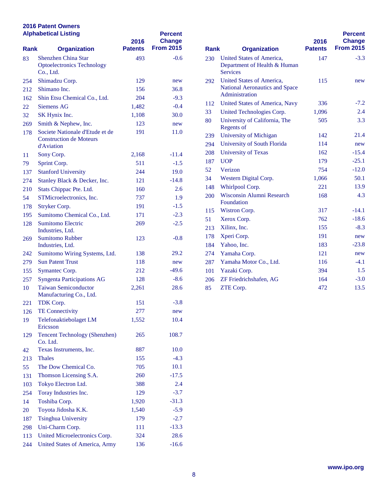| <b>Alphabetical Listing</b> |                                                                                 | 2016           | <b>Percent</b><br><b>Change</b> |             |                                                                             |
|-----------------------------|---------------------------------------------------------------------------------|----------------|---------------------------------|-------------|-----------------------------------------------------------------------------|
| <b>Rank</b>                 | <b>Organization</b>                                                             | <b>Patents</b> | <b>From 2015</b>                | <b>Rank</b> | <b>Organization</b>                                                         |
| 83                          | <b>Shenzhen China Star</b><br><b>Optoelectronics Technology</b><br>Co., Ltd.    | 493            | $-0.6$                          | 230         | <b>United States of Americ</b><br>Department of Health &<br><b>Services</b> |
| 254                         | Shimadzu Corp.                                                                  | 129            | new                             | 292         | <b>United States of Americ</b>                                              |
| 212                         | Shimano Inc.                                                                    | 156            | 36.8                            |             | National Aeronautics an                                                     |
| 162                         | Shin Etsu Chemical Co., Ltd.                                                    | 204            | $-9.3$                          |             | Administration                                                              |
| 22                          | <b>Siemens AG</b>                                                               | 1,482          | $-0.4$                          | 112         | <b>United States of Americ</b>                                              |
| 32                          | SK Hynix Inc.                                                                   | 1,108          | 30.0                            | 33          | <b>United Technologies Co</b>                                               |
| 269                         | Smith & Nephew, Inc.                                                            | 123            | new                             | 80          | University of California                                                    |
| 178                         | Societe Nationale d'Etude et de<br><b>Construction de Moteurs</b><br>d'Aviation | 191            | 11.0                            | 239<br>294  | Regents of<br>University of Michigan<br>University of South Flor            |
| 11                          | Sony Corp.                                                                      | 2,168          | $-11.4$                         | 208         | <b>University of Texas</b>                                                  |
| 79                          | Sprint Corp.                                                                    | 511            | $-1.5$                          | 187         | <b>UOP</b>                                                                  |
| 137                         | <b>Stanford University</b>                                                      | 244            | 19.0                            | 52          | Verizon                                                                     |
| 274                         | Stanley Black & Decker, Inc.                                                    | 121            | $-14.8$                         | 34          | Western Digital Corp.                                                       |
| 210                         | Stats Chippac Pte. Ltd.                                                         | 160            | 2.6                             | 148         | Whirlpool Corp.                                                             |
| 54                          | STMicroelectronics, Inc.                                                        | 737            | 1.9                             | 200         | Wisconsin Alumni Rese                                                       |
| 178                         | Stryker Corp.                                                                   | 191            | $-1.5$                          |             | Foundation                                                                  |
| 195                         | Sumitomo Chemical Co., Ltd.                                                     | 171            | $-2.3$                          | 115         | Wistron Corp.<br>Xerox Corp.                                                |
| 128                         | <b>Sumitomo Electric</b><br>Industries, Ltd.                                    | 269            | $-2.5$                          | 51<br>213   | Xilinx, Inc.                                                                |
| 269                         | <b>Sumitomo Rubber</b><br>Industries, Ltd.                                      | 123            | $-0.8$                          | 178<br>184  | Xperi Corp.<br>Yahoo, Inc.                                                  |
| 242                         | Sumitomo Wiring Systems, Ltd.                                                   | 138            | 29.2                            | 274         | Yamaha Corp.                                                                |
| 279                         | <b>Sun Patent Trust</b>                                                         | 118            | new                             | 287         | Yamaha Motor Co., Ltd                                                       |
| 155                         | Symantec Corp.                                                                  | 212            | $-49.6$                         | 101         | Yazaki Corp.                                                                |
| 257                         | <b>Syngenta Participations AG</b>                                               | 128            | $-8.6$                          | 206         | ZF Friedrichshafen, AG                                                      |
| 10                          | <b>Taiwan Semiconductor</b><br>Manufacturing Co., Ltd.                          | 2,261          | 28.6                            | 85          | ZTE Corp.                                                                   |
| 221                         | TDK Corp.                                                                       | 151            | $-3.8$                          |             |                                                                             |
| 126                         | <b>TE Connectivity</b>                                                          | 277            | new                             |             |                                                                             |
| 19                          | Telefonaktiebolaget LM<br>Ericsson                                              | 1,552          | 10.4                            |             |                                                                             |
| 129                         | <b>Tencent Technology (Shenzhen)</b><br>Co. Ltd.                                | 265            | 108.7                           |             |                                                                             |
| 42                          | Texas Instruments, Inc.                                                         | 887            | 10.0                            |             |                                                                             |
| 213                         | <b>Thales</b>                                                                   | 155            | $-4.3$                          |             |                                                                             |
| 55                          | The Dow Chemical Co.                                                            | 705            | 10.1                            |             |                                                                             |
| 131                         | Thomson Licensing S.A.                                                          | 260            | $-17.5$                         |             |                                                                             |
| 103                         | Tokyo Electron Ltd.                                                             | 388            | 2.4                             |             |                                                                             |
| 254                         | Toray Industries Inc.                                                           | 129            | $-3.7$                          |             |                                                                             |
| 14                          | Toshiba Corp.                                                                   | 1,920          | $-31.3$                         |             |                                                                             |
| 20                          | Toyota Jidosha K.K.                                                             | 1,540          | $-5.9$                          |             |                                                                             |
| 187                         | <b>Tsinghua University</b>                                                      | 179            | $-2.7$                          |             |                                                                             |
| 298                         | Uni-Charm Corp.                                                                 | 111            | $-13.3$                         |             |                                                                             |
| 113                         | United Microelectronics Corp.                                                   | 324            | 28.6                            |             |                                                                             |
| 244                         | <b>United States of America, Army</b>                                           | 136            | $-16.6$                         |             |                                                                             |

| <b>Rank</b><br><b>Organization</b> |                                                                               | 2016<br><b>Patents</b> | <b>Percent</b><br><b>Change</b><br><b>From 2015</b> |
|------------------------------------|-------------------------------------------------------------------------------|------------------------|-----------------------------------------------------|
| 230                                | United States of America,<br>Department of Health & Human<br><b>Services</b>  | 147                    | $-3.3$                                              |
| 292                                | United States of America,<br>National Aeronautics and Space<br>Administration | 115                    | new                                                 |
| 112                                | United States of America, Navy                                                | 336                    | $-7.2$                                              |
| 33                                 | United Technologies Corp.                                                     | 1,096                  | 2.4                                                 |
| 80                                 | University of California, The<br><b>Regents of</b>                            | 505                    | 3.3                                                 |
| 239                                | University of Michigan                                                        | 142                    | 21.4                                                |
| 294                                | University of South Florida                                                   | 114                    | new                                                 |
| 208                                | <b>University of Texas</b>                                                    | 162                    | $-15.4$                                             |
| 187                                | <b>UOP</b>                                                                    | 179                    | $-25.1$                                             |
| 52                                 | Verizon                                                                       | 754                    | $-12.0$                                             |
| 34                                 | Western Digital Corp.                                                         | 1,066                  | 50.1                                                |
| 148                                | Whirlpool Corp.                                                               | 221                    | 13.9                                                |
| 200                                | Wisconsin Alumni Research<br>Foundation                                       | 168                    | 4.3                                                 |
| 115                                | Wistron Corp.                                                                 | 317                    | $-14.1$                                             |
| 51                                 | Xerox Corp.                                                                   | 762                    | $-18.6$                                             |
| 213                                | Xilinx, Inc.                                                                  | 155                    | $-8.3$                                              |
| 178                                | Xperi Corp.                                                                   | 191                    | new                                                 |
| 184                                | Yahoo, Inc.                                                                   | 183                    | $-23.8$                                             |
| 274                                | Yamaha Corp.                                                                  | 121                    | new                                                 |
| 287                                | Yamaha Motor Co., Ltd.                                                        | 116                    | $-4.1$                                              |
| 101                                | Yazaki Corp.                                                                  | 394                    | 1.5                                                 |
| 206                                | ZF Friedrichshafen, AG                                                        | 164                    | $-3.0$                                              |
| 85                                 | ZTE Corp.                                                                     | 472                    | 13.5                                                |